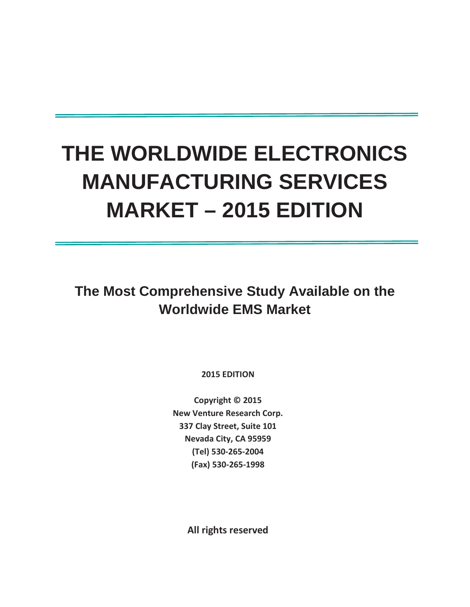# **THE WORLDWIDE ELECTRONICS MANUFACTURING SERVICES MARKET – 2015 EDITION**

**The Most Comprehensive Study Available on the Worldwide EMS Market**

**2015 EDITION** 

**Copyright © 2015 New Venture Research Corp. 337 Clay Street, Suite 101 Nevada City, CA 95959 (Tel) 530-265-2004 (Fax) 530-265-1998** 

**All rights reserved**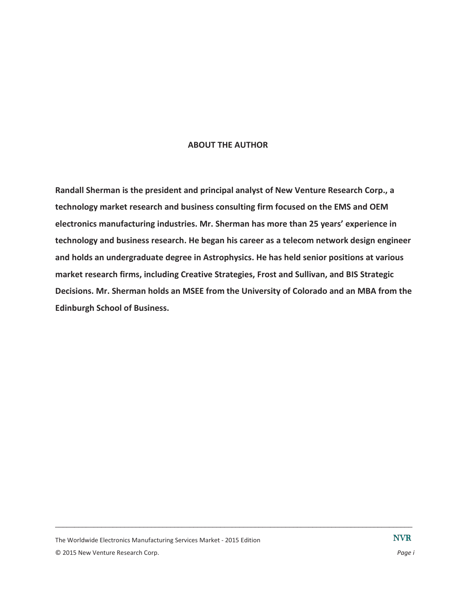#### **ABOUT THE AUTHOR**

**Randall Sherman is the president and principal analyst of New Venture Research Corp., a technology market research and business consulting firm focused on the EMS and OEM electronics manufacturing industries. Mr. Sherman has more than 25 years' experience in technology and business research. He began his career as a telecom network design engineer and holds an undergraduate degree in Astrophysics. He has held senior positions at various market research firms, including Creative Strategies, Frost and Sullivan, and BIS Strategic Decisions. Mr. Sherman holds an MSEE from the University of Colorado and an MBA from the Edinburgh School of Business.**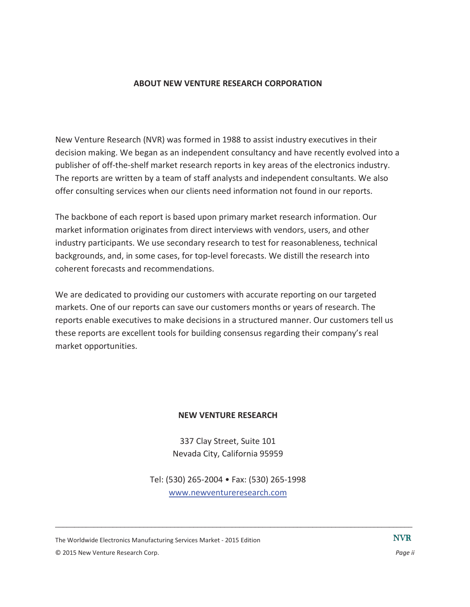#### **ABOUT NEW VENTURE RESEARCH CORPORATION**

New Venture Research (NVR) was formed in 1988 to assist industry executives in their decision making. We began as an independent consultancy and have recently evolved into a publisher of off-the-shelf market research reports in key areas of the electronics industry. The reports are written by a team of staff analysts and independent consultants. We also offer consulting services when our clients need information not found in our reports.

The backbone of each report is based upon primary market research information. Our market information originates from direct interviews with vendors, users, and other industry participants. We use secondary research to test for reasonableness, technical backgrounds, and, in some cases, for top-level forecasts. We distill the research into coherent forecasts and recommendations.

We are dedicated to providing our customers with accurate reporting on our targeted markets. One of our reports can save our customers months or years of research. The reports enable executives to make decisions in a structured manner. Our customers tell us these reports are excellent tools for building consensus regarding their company's real market opportunities.

#### **NEW VENTURE RESEARCH**

337 Clay Street, Suite 101 Nevada City, California 95959

Tel: (530) 265-2004 • Fax: (530) 265-1998 www.newventureresearch.com

 $\Box$ 

The Worldwide Electronics Manufacturing Services Market - 2015 Edition © 2015 New Venture Research Corp. *Page ii*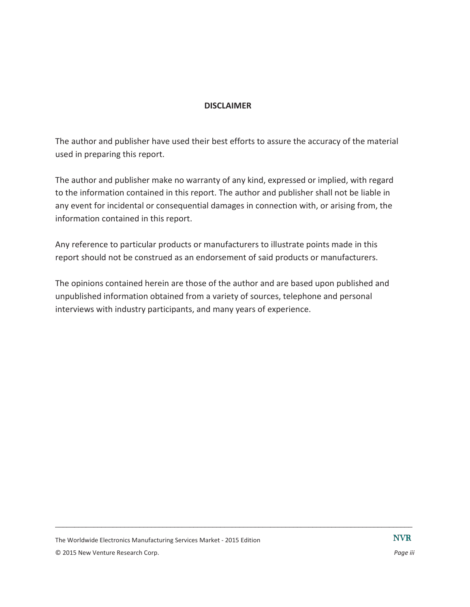#### **DISCLAIMER**

The author and publisher have used their best efforts to assure the accuracy of the material used in preparing this report.

The author and publisher make no warranty of any kind, expressed or implied, with regard to the information contained in this report. The author and publisher shall not be liable in any event for incidental or consequential damages in connection with, or arising from, the information contained in this report.

Any reference to particular products or manufacturers to illustrate points made in this report should not be construed as an endorsement of said products or manufacturers.

The opinions contained herein are those of the author and are based upon published and unpublished information obtained from a variety of sources, telephone and personal interviews with industry participants, and many years of experience.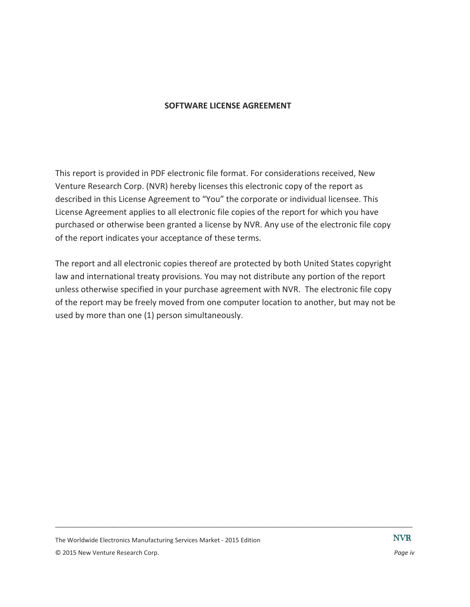#### **SOFTWARE LICENSE AGREEMENT**

This report is provided in PDF electronic file format. For considerations received, New Venture Research Corp. (NVR) hereby licenses this electronic copy of the report as described in this License Agreement to "You" the corporate or individual licensee. This License Agreement applies to all electronic file copies of the report for which you have purchased or otherwise been granted a license by NVR. Any use of the electronic file copy of the report indicates your acceptance of these terms.

The report and all electronic copies thereof are protected by both United States copyright law and international treaty provisions. You may not distribute any portion of the report unless otherwise specified in your purchase agreement with NVR. The electronic file copy of the report may be freely moved from one computer location to another, but may not be used by more than one (1) person simultaneously.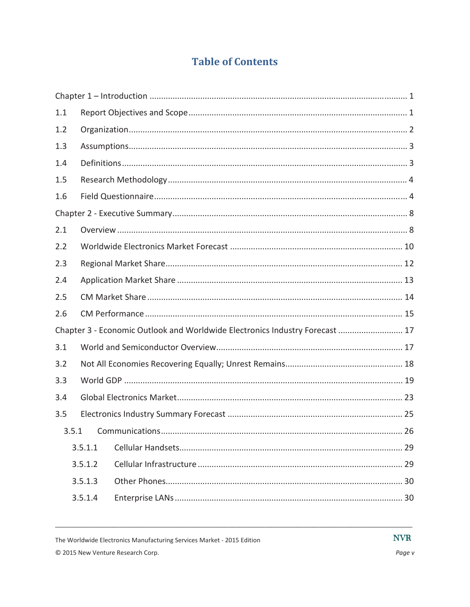## **Table of Contents**

| 1.1 |         |                                                                              |  |
|-----|---------|------------------------------------------------------------------------------|--|
| 1.2 |         |                                                                              |  |
| 1.3 |         |                                                                              |  |
| 1.4 |         |                                                                              |  |
| 1.5 |         |                                                                              |  |
| 1.6 |         |                                                                              |  |
|     |         |                                                                              |  |
| 2.1 |         |                                                                              |  |
| 2.2 |         |                                                                              |  |
| 2.3 |         |                                                                              |  |
| 2.4 |         |                                                                              |  |
| 2.5 |         |                                                                              |  |
| 2.6 |         |                                                                              |  |
|     |         | Chapter 3 - Economic Outlook and Worldwide Electronics Industry Forecast  17 |  |
| 3.1 |         |                                                                              |  |
| 3.2 |         |                                                                              |  |
| 3.3 |         |                                                                              |  |
| 3.4 |         |                                                                              |  |
| 3.5 |         |                                                                              |  |
|     | 3.5.1   |                                                                              |  |
|     | 3.5.1.1 |                                                                              |  |
|     | 3.5.1.2 |                                                                              |  |
|     | 3.5.1.3 |                                                                              |  |
|     | 3.5.1.4 |                                                                              |  |

The Worldwide Electronics Manufacturing Services Market - 2015 Edition

**NVR**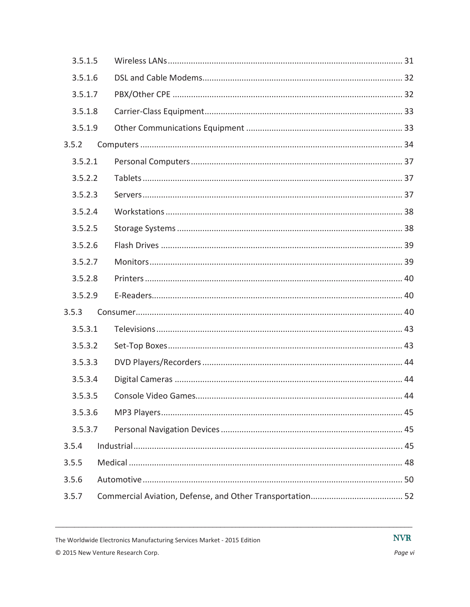| 3.5.1.5 |  |
|---------|--|
| 3.5.1.6 |  |
| 3.5.1.7 |  |
| 3.5.1.8 |  |
| 3.5.1.9 |  |
| 3.5.2   |  |
| 3.5.2.1 |  |
| 3.5.2.2 |  |
| 3.5.2.3 |  |
| 3.5.2.4 |  |
| 3.5.2.5 |  |
| 3.5.2.6 |  |
| 3.5.2.7 |  |
| 3.5.2.8 |  |
| 3.5.2.9 |  |
| 3.5.3   |  |
| 3.5.3.1 |  |
| 3.5.3.2 |  |
| 3.5.3.3 |  |
| 3.5.3.4 |  |
| 3.5.3.5 |  |
| 3.5.3.6 |  |
| 3.5.3.7 |  |
| 3.5.4   |  |
| 3.5.5   |  |
| 3.5.6   |  |
| 3.5.7   |  |
|         |  |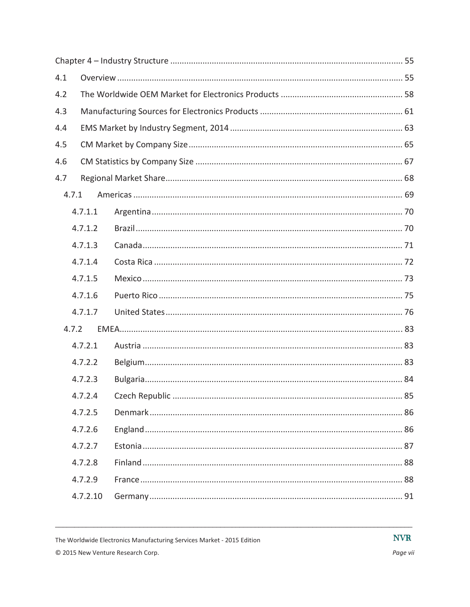| 4.1   |          |  |
|-------|----------|--|
| 4.2   |          |  |
| 4.3   |          |  |
| 4.4   |          |  |
| 4.5   |          |  |
| 4.6   |          |  |
| 4.7   |          |  |
| 4.7.1 |          |  |
|       | 4.7.1.1  |  |
|       | 4.7.1.2  |  |
|       | 4.7.1.3  |  |
|       | 4.7.1.4  |  |
|       | 4.7.1.5  |  |
|       | 4.7.1.6  |  |
|       | 4.7.1.7  |  |
| 4.7.2 |          |  |
|       | 4.7.2.1  |  |
|       | 4.7.2.2  |  |
|       | 4.7.2.3  |  |
|       | 4.7.2.4  |  |
|       | 4.7.2.5  |  |
|       | 4.7.2.6  |  |
|       | 4.7.2.7  |  |
|       | 4.7.2.8  |  |
|       | 4.7.2.9  |  |
|       | 4.7.2.10 |  |

© 2015 New Venture Research Corp.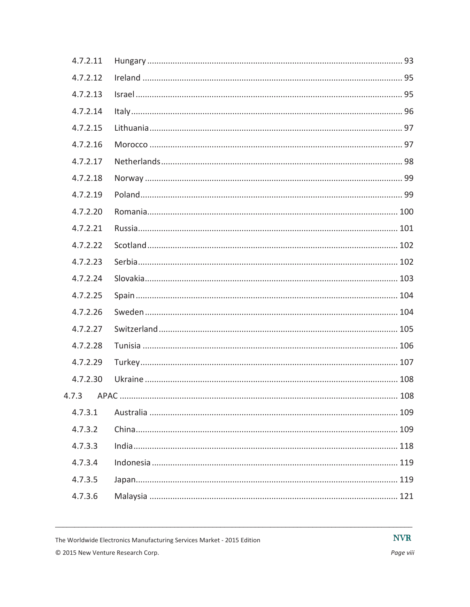| 4.7.2.11 |  |  |
|----------|--|--|
| 4.7.2.12 |  |  |
| 4.7.2.13 |  |  |
| 4.7.2.14 |  |  |
| 4.7.2.15 |  |  |
| 4.7.2.16 |  |  |
| 4.7.2.17 |  |  |
| 4.7.2.18 |  |  |
| 4.7.2.19 |  |  |
| 4.7.2.20 |  |  |
| 4.7.2.21 |  |  |
| 4.7.2.22 |  |  |
| 4.7.2.23 |  |  |
| 4.7.2.24 |  |  |
| 4.7.2.25 |  |  |
| 4.7.2.26 |  |  |
| 4.7.2.27 |  |  |
| 4.7.2.28 |  |  |
| 4.7.2.29 |  |  |
| 4.7.2.30 |  |  |
|          |  |  |
| 4.7.3.1  |  |  |
| 4.7.3.2  |  |  |
| 4.7.3.3  |  |  |
| 4.7.3.4  |  |  |
| 4.7.3.5  |  |  |
| 4.7.3.6  |  |  |
|          |  |  |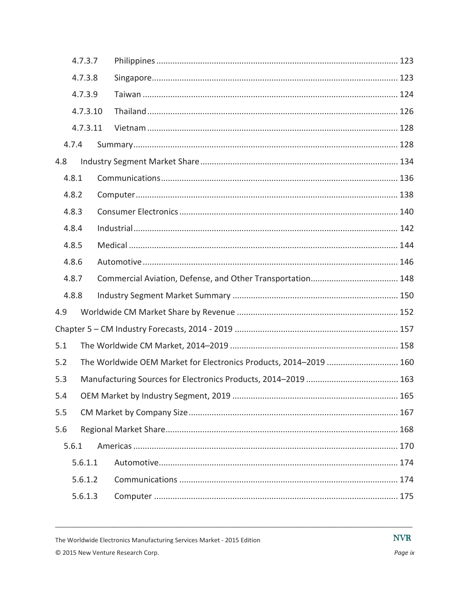|     | 4.7.3.7  |                                                                   |  |
|-----|----------|-------------------------------------------------------------------|--|
|     | 4.7.3.8  |                                                                   |  |
|     | 4.7.3.9  |                                                                   |  |
|     | 4.7.3.10 |                                                                   |  |
|     | 4.7.3.11 |                                                                   |  |
|     | 4.7.4    |                                                                   |  |
| 4.8 |          |                                                                   |  |
|     | 4.8.1    |                                                                   |  |
|     | 4.8.2    |                                                                   |  |
|     | 4.8.3    |                                                                   |  |
|     | 4.8.4    |                                                                   |  |
|     | 4.8.5    |                                                                   |  |
|     | 4.8.6    |                                                                   |  |
|     | 4.8.7    |                                                                   |  |
|     | 4.8.8    |                                                                   |  |
| 4.9 |          |                                                                   |  |
|     |          |                                                                   |  |
| 5.1 |          |                                                                   |  |
| 5.2 |          | The Worldwide OEM Market for Electronics Products, 2014-2019  160 |  |
| 5.3 |          |                                                                   |  |
| 5.4 |          |                                                                   |  |
| 5.5 |          |                                                                   |  |
| 5.6 |          |                                                                   |  |
|     | 5.6.1    |                                                                   |  |
|     | 5.6.1.1  |                                                                   |  |
|     | 5.6.1.2  |                                                                   |  |
|     | 5.6.1.3  |                                                                   |  |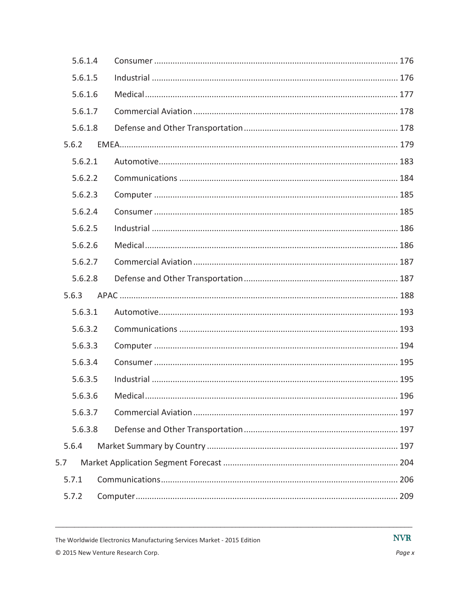| 5.6.1.4 |  |
|---------|--|
| 5.6.1.5 |  |
| 5.6.1.6 |  |
| 5.6.1.7 |  |
| 5.6.1.8 |  |
| 5.6.2   |  |
| 5.6.2.1 |  |
| 5.6.2.2 |  |
| 5.6.2.3 |  |
| 5.6.2.4 |  |
| 5.6.2.5 |  |
| 5.6.2.6 |  |
| 5.6.2.7 |  |
| 5.6.2.8 |  |
| 5.6.3   |  |
| 5.6.3.1 |  |
| 5.6.3.2 |  |
| 5.6.3.3 |  |
| 5.6.3.4 |  |
| 5.6.3.5 |  |
| 5.6.3.6 |  |
| 5.6.3.7 |  |
| 5.6.3.8 |  |
| 5.6.4   |  |
| 5.7     |  |
| 5.7.1   |  |
| 5.7.2   |  |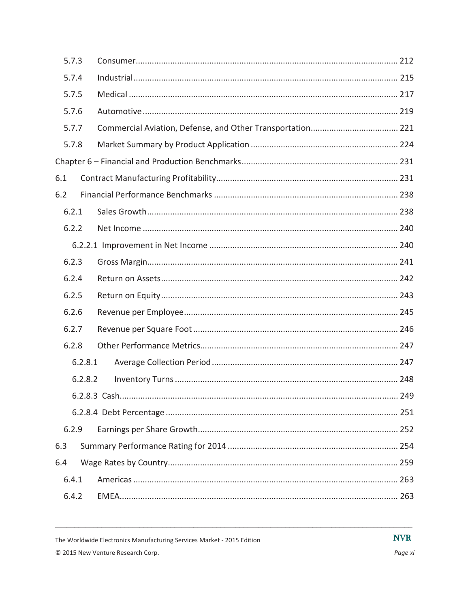| 5.7.3   |  |
|---------|--|
| 5.7.4   |  |
| 5.7.5   |  |
| 5.7.6   |  |
| 5.7.7   |  |
| 5.7.8   |  |
|         |  |
| 6.1     |  |
| 6.2     |  |
| 6.2.1   |  |
| 6.2.2   |  |
|         |  |
| 6.2.3   |  |
| 6.2.4   |  |
| 6.2.5   |  |
| 6.2.6   |  |
| 6.2.7   |  |
| 6.2.8   |  |
| 6.2.8.1 |  |
| 6.2.8.2 |  |
|         |  |
|         |  |
| 6.2.9   |  |
| 6.3     |  |
| 6.4     |  |
| 6.4.1   |  |
| 6.4.2   |  |

**NVR**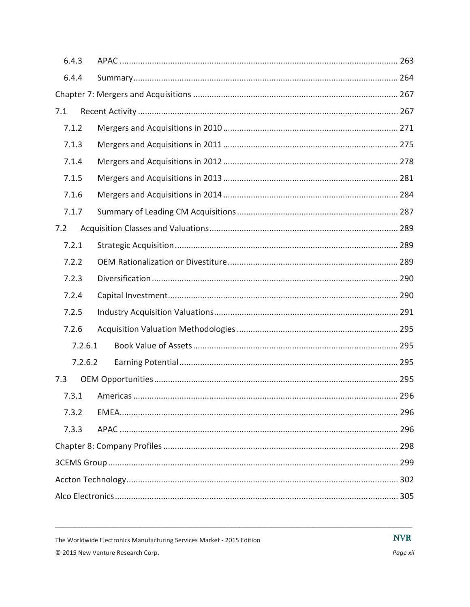| 6.4.3   |  |  |  |
|---------|--|--|--|
| 6.4.4   |  |  |  |
|         |  |  |  |
| 7.1     |  |  |  |
| 7.1.2   |  |  |  |
| 7.1.3   |  |  |  |
| 7.1.4   |  |  |  |
| 7.1.5   |  |  |  |
| 7.1.6   |  |  |  |
| 7.1.7   |  |  |  |
| 7.2     |  |  |  |
| 7.2.1   |  |  |  |
| 7.2.2   |  |  |  |
| 7.2.3   |  |  |  |
| 7.2.4   |  |  |  |
| 7.2.5   |  |  |  |
| 7.2.6   |  |  |  |
| 7.2.6.1 |  |  |  |
| 7.2.6.2 |  |  |  |
| 7.3     |  |  |  |
| 7.3.1   |  |  |  |
| 7.3.2   |  |  |  |
| 7.3.3   |  |  |  |
|         |  |  |  |
|         |  |  |  |
|         |  |  |  |
|         |  |  |  |

© 2015 New Venture Research Corp.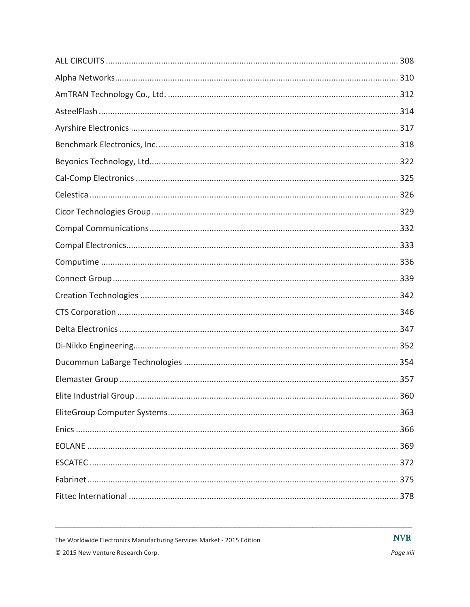© 2015 New Venture Research Corp.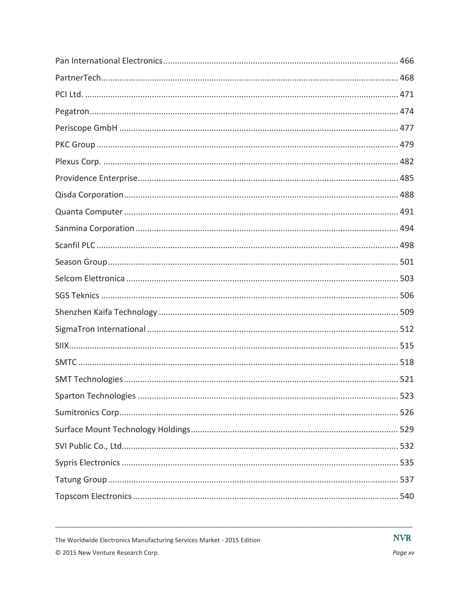**NVR**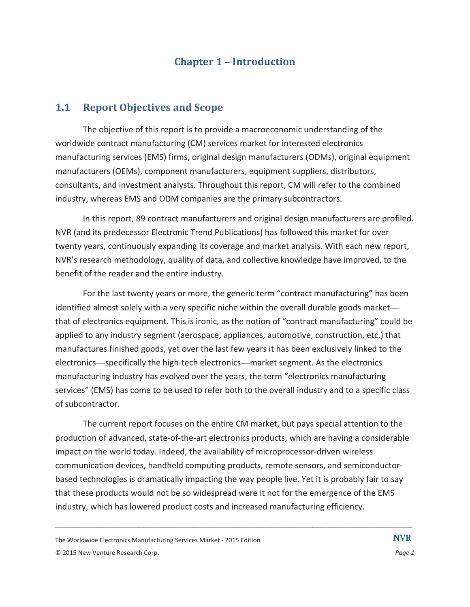## **Chapter 1 – Introduction**

### **1.1 Report Objectives and Scope**

The objective of this report is to provide a macroeconomic understanding of the worldwide contract manufacturing (CM) services market for interested electronics manufacturing services (EMS) firms, original design manufacturers (ODMs), original equipment manufacturers (OEMs), component manufacturers, equipment suppliers, distributors, consultants, and investment analysts. Throughout this report, CM will refer to the combined industry, whereas EMS and ODM companies are the primary subcontractors.

In this report, 89 contract manufacturers and original design manufacturers are profiled. NVR (and its predecessor Electronic Trend Publications) has followed this market for over twenty years, continuously expanding its coverage and market analysis. With each new report, NVR's research methodology, quality of data, and collective knowledge have improved, to the benefit of the reader and the entire industry.

For the last twenty years or more, the generic term "contract manufacturing" has been identified almost solely with a very specific niche within the overall durable goods market that of electronics equipment. This is ironic, as the notion of "contract manufacturing" could be applied to any industry segment (aerospace, appliances, automotive, construction, etc.) that manufactures finished goods, yet over the last few years it has been exclusively linked to the electronics—specifically the high-tech electronics—market segment. As the electronics manufacturing industry has evolved over the years, the term "electronics manufacturing services" (EMS) has come to be used to refer both to the overall industry and to a specific class of subcontractor.

The current report focuses on the entire CM market, but pays special attention to the production of advanced, state-of-the-art electronics products, which are having a considerable impact on the world today. Indeed, the availability of microprocessor-driven wireless communication devices, handheld computing products, remote sensors, and semiconductorbased technologies is dramatically impacting the way people live. Yet it is probably fair to say that these products would not be so widespread were it not for the emergence of the EMS industry, which has lowered product costs and increased manufacturing efficiency.

 $\Box$ 

The Worldwide Electronics Manufacturing Services Market - 2015 Edition © 2015 New Venture Research Corp. *Page 1*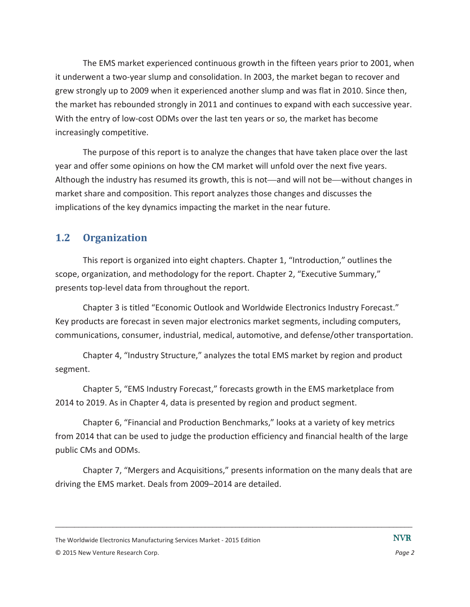The EMS market experienced continuous growth in the fifteen years prior to 2001, when it underwent a two-year slump and consolidation. In 2003, the market began to recover and grew strongly up to 2009 when it experienced another slump and was flat in 2010. Since then, the market has rebounded strongly in 2011 and continues to expand with each successive year. With the entry of low-cost ODMs over the last ten years or so, the market has become increasingly competitive.

The purpose of this report is to analyze the changes that have taken place over the last year and offer some opinions on how the CM market will unfold over the next five years. Although the industry has resumed its growth, this is not—and will not be—without changes in market share and composition. This report analyzes those changes and discusses the implications of the key dynamics impacting the market in the near future.

## **1.2 Organization**

This report is organized into eight chapters. Chapter 1, "Introduction," outlines the scope, organization, and methodology for the report. Chapter 2, "Executive Summary," presents top-level data from throughout the report.

Chapter 3 is titled "Economic Outlook and Worldwide Electronics Industry Forecast." Key products are forecast in seven major electronics market segments, including computers, communications, consumer, industrial, medical, automotive, and defense/other transportation.

Chapter 4, "Industry Structure," analyzes the total EMS market by region and product segment.

Chapter 5, "EMS Industry Forecast," forecasts growth in the EMS marketplace from 2014 to 2019. As in Chapter 4, data is presented by region and product segment.

Chapter 6, "Financial and Production Benchmarks," looks at a variety of key metrics from 2014 that can be used to judge the production efficiency and financial health of the large public CMs and ODMs.

Chapter 7, "Mergers and Acquisitions," presents information on the many deals that are driving the EMS market. Deals from 2009–2014 are detailed.

 $\Box$ 

**NVR** 

The Worldwide Electronics Manufacturing Services Market - 2015 Edition

<sup>© 2015</sup> New Venture Research Corp. *Page 2*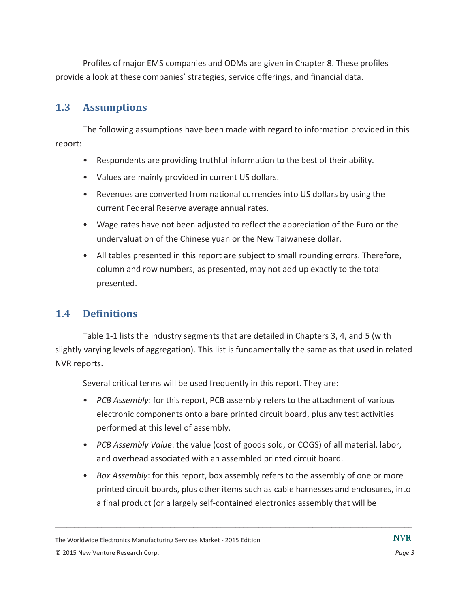Profiles of major EMS companies and ODMs are given in Chapter 8. These profiles provide a look at these companies' strategies, service offerings, and financial data.

#### **1.3 Assumptions**

The following assumptions have been made with regard to information provided in this report:

- Respondents are providing truthful information to the best of their ability.
- Values are mainly provided in current US dollars.
- Revenues are converted from national currencies into US dollars by using the current Federal Reserve average annual rates.
- Wage rates have not been adjusted to reflect the appreciation of the Euro or the undervaluation of the Chinese yuan or the New Taiwanese dollar.
- All tables presented in this report are subject to small rounding errors. Therefore, column and row numbers, as presented, may not add up exactly to the total presented.

## **1.4 Definitions**

Table 1-1 lists the industry segments that are detailed in Chapters 3, 4, and 5 (with slightly varying levels of aggregation). This list is fundamentally the same as that used in related NVR reports.

Several critical terms will be used frequently in this report. They are:

- *PCB Assembly*: for this report, PCB assembly refers to the attachment of various electronic components onto a bare printed circuit board, plus any test activities performed at this level of assembly.
- *PCB Assembly Value*: the value (cost of goods sold, or COGS) of all material, labor, and overhead associated with an assembled printed circuit board.
- *Box Assembly*: for this report, box assembly refers to the assembly of one or more printed circuit boards, plus other items such as cable harnesses and enclosures, into a final product (or a largely self-contained electronics assembly that will be

The Worldwide Electronics Manufacturing Services Market - 2015 Edition © 2015 New Venture Research Corp. *Page 3*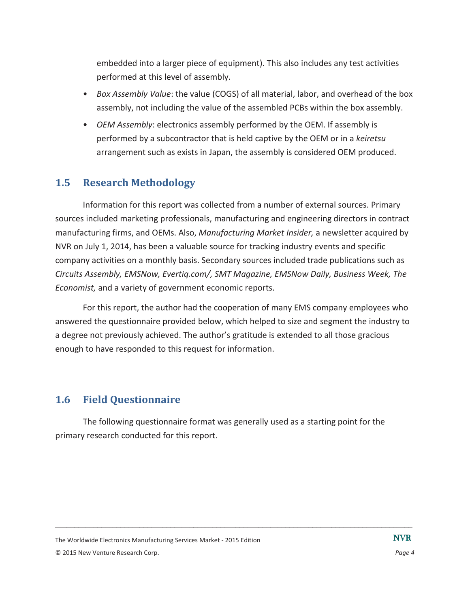embedded into a larger piece of equipment). This also includes any test activities performed at this level of assembly.

- *Box Assembly Value*: the value (COGS) of all material, labor, and overhead of the box assembly, not including the value of the assembled PCBs within the box assembly.
- *OEM Assembly*: electronics assembly performed by the OEM. If assembly is performed by a subcontractor that is held captive by the OEM or in a *keiretsu* arrangement such as exists in Japan, the assembly is considered OEM produced.

#### **1.5 Research Methodology**

Information for this report was collected from a number of external sources. Primary sources included marketing professionals, manufacturing and engineering directors in contract manufacturing firms, and OEMs. Also, *Manufacturing Market Insider,* a newsletter acquired by NVR on July 1, 2014, has been a valuable source for tracking industry events and specific company activities on a monthly basis. Secondary sources included trade publications such as *Circuits Assembly, EMSNow, Evertiq.com/, SMT Magazine, EMSNow Daily, Business Week, The Economist,* and a variety of government economic reports.

For this report, the author had the cooperation of many EMS company employees who answered the questionnaire provided below, which helped to size and segment the industry to a degree not previously achieved. The author's gratitude is extended to all those gracious enough to have responded to this request for information.

## **1.6 Field Questionnaire**

The following questionnaire format was generally used as a starting point for the primary research conducted for this report.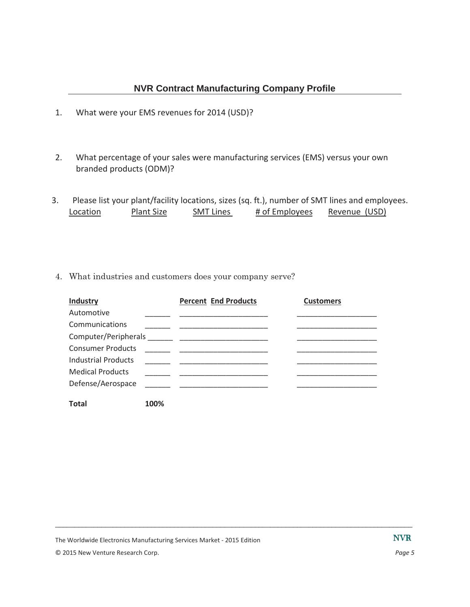- 1. What were your EMS revenues for 2014 (USD)?
- 2. What percentage of your sales were manufacturing services (EMS) versus your own branded products (ODM)?
- 3. Please list your plant/facility locations, sizes (sq. ft.), number of SMT lines and employees. Location Plant Size SMT Lines # of Employees Revenue (USD)
- 4. What industries and customers does your company serve?

| <b>Industry</b>            |      | <b>Percent End Products</b> | <b>Customers</b> |
|----------------------------|------|-----------------------------|------------------|
| Automotive                 |      |                             |                  |
| Communications             |      |                             |                  |
|                            |      |                             |                  |
| <b>Consumer Products</b>   |      |                             |                  |
| <b>Industrial Products</b> |      |                             |                  |
| <b>Medical Products</b>    |      |                             |                  |
| Defense/Aerospace          |      |                             |                  |
|                            |      |                             |                  |
| Total                      | 100% |                             |                  |

 $\Box$ 

The Worldwide Electronics Manufacturing Services Market - 2015 Edition

© 2015 New Venture Research Corp. *Page 5*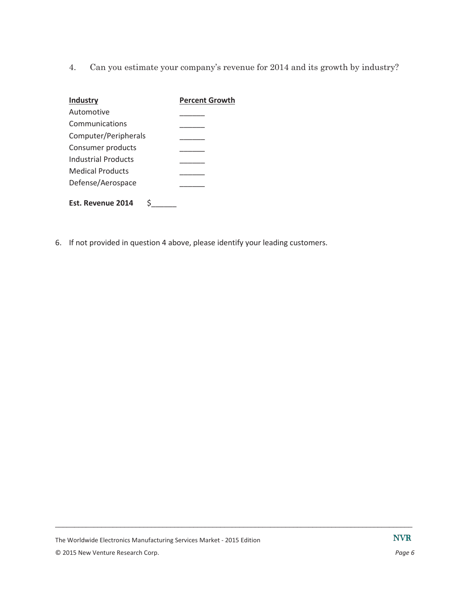4. Can you estimate your company's revenue for 2014 and its growth by industry?

| <b>Industry</b>         | <b>Percent Growth</b> |
|-------------------------|-----------------------|
| Automotive              |                       |
| Communications          |                       |
| Computer/Peripherals    |                       |
| Consumer products       |                       |
| Industrial Products     |                       |
| <b>Medical Products</b> |                       |
| Defense/Aerospace       |                       |
| Est. Revenue 2014       |                       |

6. If not provided in question 4 above, please identify your leading customers.